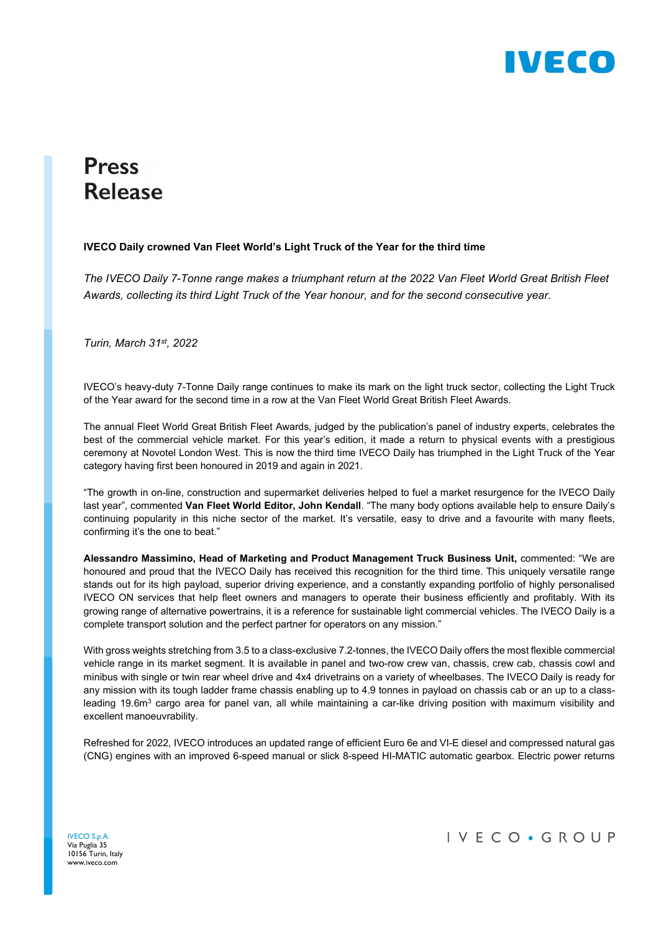

## **Press Release**

## IVECO Daily crowned Van Fleet World's Light Truck of the Year for the third time

The IVECO Daily 7-Tonne range makes a triumphant return at the 2022 Van Fleet World Great British Fleet Awards, collecting its third Light Truck of the Year honour, and for the second consecutive year.

Turin, March 31st, 2022

IVECO's heavy-duty 7-Tonne Daily range continues to make its mark on the light truck sector, collecting the Light Truck of the Year award for the second time in a row at the Van Fleet World Great British Fleet Awards.

The annual Fleet World Great British Fleet Awards, judged by the publication's panel of industry experts, celebrates the best of the commercial vehicle market. For this year's edition, it made a return to physical events with a prestigious ceremony at Novotel London West. This is now the third time IVECO Daily has triumphed in the Light Truck of the Year category having first been honoured in 2019 and again in 2021.

"The growth in on-line, construction and supermarket deliveries helped to fuel a market resurgence for the IVECO Daily last year", commented Van Fleet World Editor, John Kendall. "The many body options available help to ensure Daily's continuing popularity in this niche sector of the market. It's versatile, easy to drive and a favourite with many fleets, confirming it's the one to beat."

Alessandro Massimino, Head of Marketing and Product Management Truck Business Unit, commented: "We are honoured and proud that the IVECO Daily has received this recognition for the third time. This uniquely versatile range stands out for its high payload, superior driving experience, and a constantly expanding portfolio of highly personalised IVECO ON services that help fleet owners and managers to operate their business efficiently and profitably. With its growing range of alternative powertrains, it is a reference for sustainable light commercial vehicles. The IVECO Daily is a complete transport solution and the perfect partner for operators on any mission."

With gross weights stretching from 3.5 to a class-exclusive 7.2-tonnes, the IVECO Daily offers the most flexible commercial vehicle range in its market segment. It is available in panel and two-row crew van, chassis, crew cab, chassis cowl and minibus with single or twin rear wheel drive and 4x4 drivetrains on a variety of wheelbases. The IVECO Daily is ready for any mission with its tough ladder frame chassis enabling up to 4.9 tonnes in payload on chassis cab or an up to a classleading 19.6m<sup>3</sup> cargo area for panel van, all while maintaining a car-like driving position with maximum visibility and excellent manoeuvrability.

Refreshed for 2022, IVECO introduces an updated range of efficient Euro 6e and VI-E diesel and compressed natural gas (CNG) engines with an improved 6-speed manual or slick 8-speed HI-MATIC automatic gearbox. Electric power returns

IVECO S.p.A. Via Puglia 35 10156 Turin, Italy www.iveco.com

IVECO · GROUP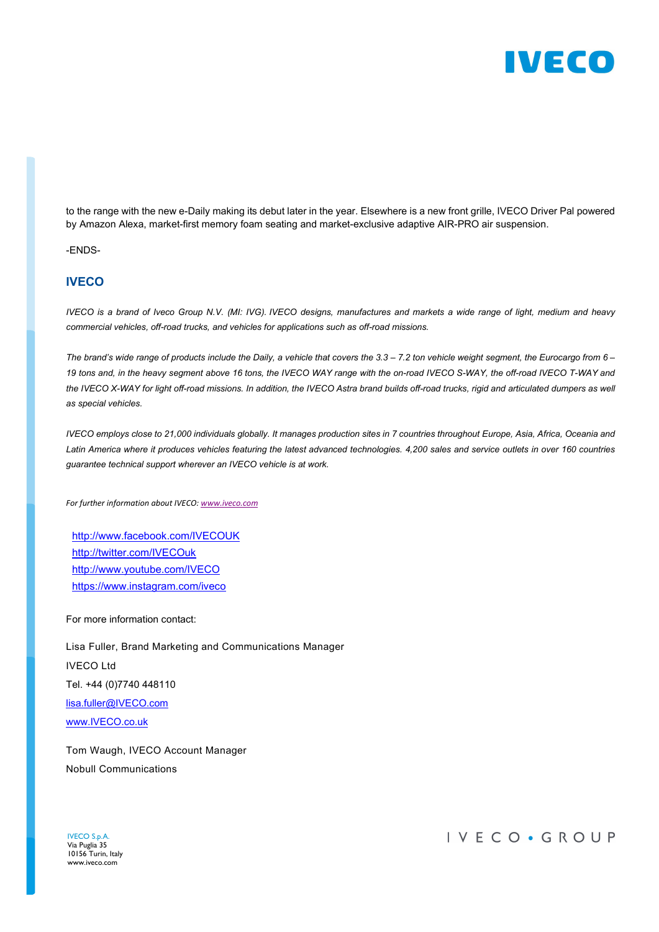

to the range with the new e-Daily making its debut later in the year. Elsewhere is a new front grille, IVECO Driver Pal powered by Amazon Alexa, market-first memory foam seating and market-exclusive adaptive AIR-PRO air suspension.

-ENDS-

## **IVECO**

IVECO is a brand of Iveco Group N.V. (MI: IVG). IVECO designs, manufactures and markets a wide range of light, medium and heavy commercial vehicles, off-road trucks, and vehicles for applications such as off-road missions.

The brand's wide range of products include the Daily, a vehicle that covers the  $3.3 - 7.2$  ton vehicle weight segment, the Eurocargo from  $6 -$ 19 tons and, in the heavy segment above 16 tons, the IVECO WAY range with the on-road IVECO S-WAY, the off-road IVECO T-WAY and the IVECO X-WAY for light off-road missions. In addition, the IVECO Astra brand builds off-road trucks, rigid and articulated dumpers as well as special vehicles.

IVECO employs close to 21,000 individuals globally. It manages production sites in 7 countries throughout Europe, Asia, Africa, Oceania and Latin America where it produces vehicles featuring the latest advanced technologies. 4,200 sales and service outlets in over 160 countries guarantee technical support wherever an IVECO vehicle is at work.

For further information about IVECO: www.iveco.com

http://www.facebook.com/IVECOUK http://twitter.com/IVECOuk http://www.youtube.com/IVECO https://www.instagram.com/iveco

For more information contact:

Lisa Fuller, Brand Marketing and Communications Manager IVECO Ltd Tel. +44 (0)7740 448110 lisa.fuller@IVECO.com www.IVECO.co.uk

Tom Waugh, IVECO Account Manager Nobull Communications